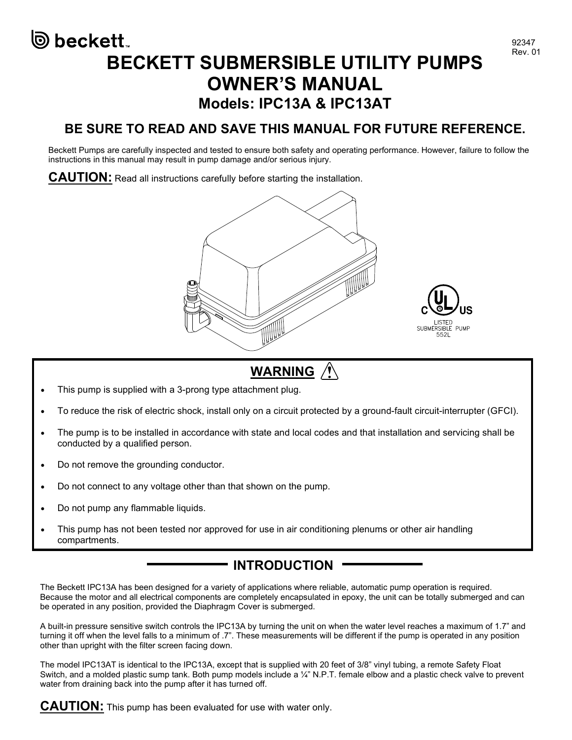# ම beckett. BECKETT SUBMERSIBLE UTILITY PUMPS OWNER'S MANUAL Models: IPC13A & IPC13AT

### BE SURE TO READ AND SAVE THIS MANUAL FOR FUTURE REFERENCE.

Beckett Pumps are carefully inspected and tested to ensure both safety and operating performance. However, failure to follow the instructions in this manual may result in pump damage and/or serious injury.

**CAUTION:** Read all instructions carefully before starting the installation.



# WARNING /

- This pump is supplied with a 3-prong type attachment plug.
- To reduce the risk of electric shock, install only on a circuit protected by a ground-fault circuit-interrupter (GFCI).
- The pump is to be installed in accordance with state and local codes and that installation and servicing shall be conducted by a qualified person.
- Do not remove the grounding conductor.
- Do not connect to any voltage other than that shown on the pump.
- Do not pump any flammable liquids.
- This pump has not been tested nor approved for use in air conditioning plenums or other air handling compartments.

### INTRODUCTION

The Beckett IPC13A has been designed for a variety of applications where reliable, automatic pump operation is required. Because the motor and all electrical components are completely encapsulated in epoxy, the unit can be totally submerged and can be operated in any position, provided the Diaphragm Cover is submerged.

A built-in pressure sensitive switch controls the IPC13A by turning the unit on when the water level reaches a maximum of 1.7" and turning it off when the level falls to a minimum of .7". These measurements will be different if the pump is operated in any position other than upright with the filter screen facing down.

The model IPC13AT is identical to the IPC13A, except that is supplied with 20 feet of 3/8" vinyl tubing, a remote Safety Float Switch, and a molded plastic sump tank. Both pump models include a ¼" N.P.T. female elbow and a plastic check valve to prevent water from draining back into the pump after it has turned off.

**CAUTION:** This pump has been evaluated for use with water only.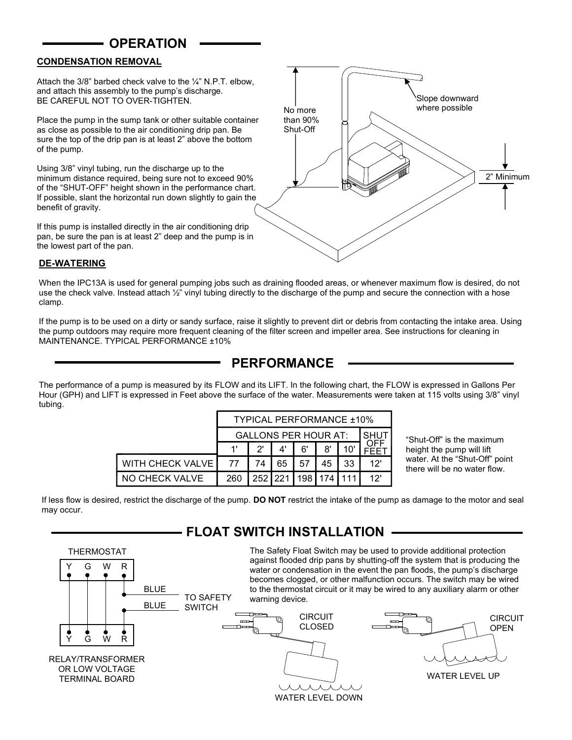#### **OPERATION**

#### CONDENSATION REMOVAL

Attach the 3/8" barbed check valve to the  $\frac{1}{4}$ " N.P.T. elbow, and attach this assembly to the pump's discharge. BE CAREFUL NOT TO OVER-TIGHTEN.

Place the pump in the sump tank or other suitable container as close as possible to the air conditioning drip pan. Be sure the top of the drip pan is at least 2" above the bottom of the pump.

Using 3/8" vinyl tubing, run the discharge up to the minimum distance required, being sure not to exceed 90% of the "SHUT-OFF" height shown in the performance chart. If possible, slant the horizontal run down slightly to gain the benefit of gravity.

If this pump is installed directly in the air conditioning drip pan, be sure the pan is at least 2" deep and the pump is in the lowest part of the pan.



#### DE-WATERING

When the IPC13A is used for general pumping jobs such as draining flooded areas, or whenever maximum flow is desired, do not use the check valve. Instead attach 1/2" vinyl tubing directly to the discharge of the pump and secure the connection with a hose clamp.

If the pump is to be used on a dirty or sandy surface, raise it slightly to prevent dirt or debris from contacting the intake area. Using the pump outdoors may require more frequent cleaning of the filter screen and impeller area. See instructions for cleaning in MAINTENANCE. TYPICAL PERFORMANCE ±10%

#### PERFORMANCE

The performance of a pump is measured by its FLOW and its LIFT. In the following chart, the FLOW is expressed in Gallons Per Hour (GPH) and LIFT is expressed in Feet above the surface of the water. Measurements were taken at 115 volts using 3/8" vinyl tubing.

|                             | <b>TYPICAL PERFORMANCE ±10%</b> |     |     |         |    |     |      |  |
|-----------------------------|---------------------------------|-----|-----|---------|----|-----|------|--|
| <b>GALLONS PER HOUR AT:</b> |                                 |     |     |         |    |     | SHUT |  |
|                             |                                 | יפ  |     | 6'      | 8' | 10' |      |  |
| <b>WITH CHECK VALVE</b>     | 77                              | 74  | 65  | 57      | 45 | 33  | 12'  |  |
| NO CHECK VALVE              | 260                             | 252 | 221 | 198 174 |    |     | 12'  |  |

"Shut-Off" is the maximum height the pump will lift water. At the "Shut-Off" point there will be no water flow.

If less flow is desired, restrict the discharge of the pump. DO NOT restrict the intake of the pump as damage to the motor and seal may occur.

#### FLOAT SWITCH INSTALLATION

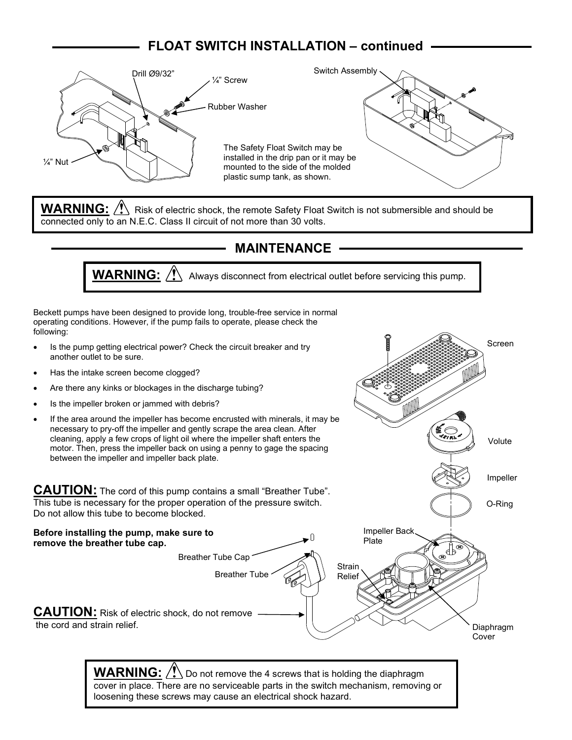## FLOAT SWITCH INSTALLATION – continued



**WARNING:**  $\bigwedge$  Risk of electric shock, the remote Safety Float Switch is not submersible and should be connected only to an N.E.C. Class II circuit of not more than 30 volts.

#### MAINTENANCE

**WARNING:**  $\sqrt{\frac{1}{n}}$  Always disconnect from electrical outlet before servicing this pump.

Screen

Volute

Impeller

O-Ring

Beckett pumps have been designed to provide long, trouble-free service in normal operating conditions. However, if the pump fails to operate, please check the following:

- Is the pump getting electrical power? Check the circuit breaker and try another outlet to be sure.
- Has the intake screen become clogged?
- Are there any kinks or blockages in the discharge tubing?
- Is the impeller broken or jammed with debris?
- If the area around the impeller has become encrusted with minerals, it may be necessary to pry-off the impeller and gently scrape the area clean. After cleaning, apply a few crops of light oil where the impeller shaft enters the motor. Then, press the impeller back on using a penny to gage the spacing between the impeller and impeller back plate.

CAUTION: The cord of this pump contains a small "Breather Tube". This tube is necessary for the proper operation of the pressure switch. Do not allow this tube to become blocked.



**WARNING:**  $\sqrt{N}$  Do not remove the 4 screws that is holding the diaphragm cover in place. There are no serviceable parts in the switch mechanism, removing or loosening these screws may cause an electrical shock hazard.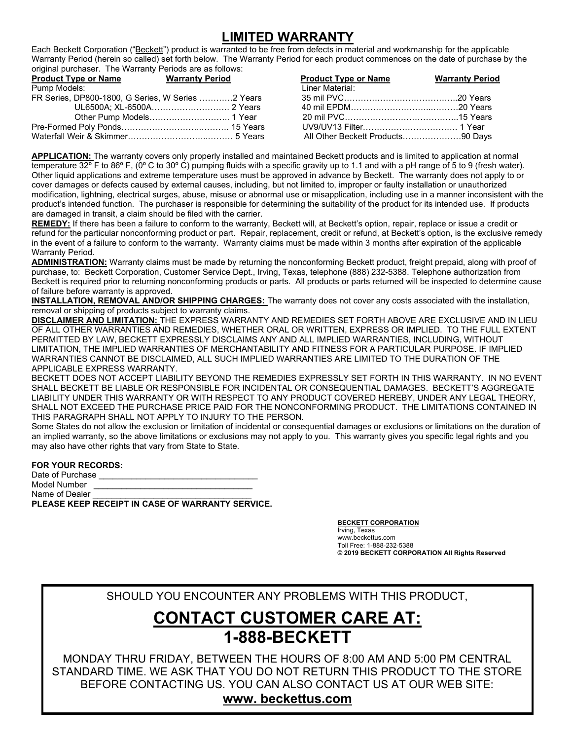## LIMITED WARRANTY

Each Beckett Corporation ("Beckett") product is warranted to be free from defects in material and workmanship for the applicable Warranty Period (herein so called) set forth below. The Warranty Period for each product commences on the date of purchase by the original purchaser. The Warranty Periods are as follows:

| <b>Product Type or Name</b> | <b>Warranty Period</b>                            | <b>Product Type or Name</b>       | <b>Warranty Period</b> |
|-----------------------------|---------------------------------------------------|-----------------------------------|------------------------|
| Pump Models:                |                                                   | Liner Material:                   |                        |
|                             | FR Series, DP800-1800, G Series, W Series 2 Years |                                   |                        |
|                             |                                                   |                                   |                        |
|                             |                                                   |                                   |                        |
|                             |                                                   |                                   |                        |
|                             |                                                   | All Other Beckett Products90 Days |                        |

APPLICATION: The warranty covers only properly installed and maintained Beckett products and is limited to application at normal temperature 32º F to 86º F, (0º C to 30º C) pumping fluids with a specific gravity up to 1.1 and with a pH range of 5 to 9 (fresh water). Other liquid applications and extreme temperature uses must be approved in advance by Beckett. The warranty does not apply to or cover damages or defects caused by external causes, including, but not limited to, improper or faulty installation or unauthorized modification, lightning, electrical surges, abuse, misuse or abnormal use or misapplication, including use in a manner inconsistent with the product's intended function. The purchaser is responsible for determining the suitability of the product for its intended use. If products are damaged in transit, a claim should be filed with the carrier.

REMEDY: If there has been a failure to conform to the warranty, Beckett will, at Beckett's option, repair, replace or issue a credit or refund for the particular nonconforming product or part. Repair, replacement, credit or refund, at Beckett's option, is the exclusive remedy in the event of a failure to conform to the warranty. Warranty claims must be made within 3 months after expiration of the applicable Warranty Period.

ADMINISTRATION: Warranty claims must be made by returning the nonconforming Beckett product, freight prepaid, along with proof of purchase, to: Beckett Corporation, Customer Service Dept., Irving, Texas, telephone (888) 232-5388. Telephone authorization from Beckett is required prior to returning nonconforming products or parts. All products or parts returned will be inspected to determine cause of failure before warranty is approved.

INSTALLATION, REMOVAL AND/OR SHIPPING CHARGES: The warranty does not cover any costs associated with the installation, removal or shipping of products subject to warranty claims.

DISCLAIMER AND LIMITATION: THE EXPRESS WARRANTY AND REMEDIES SET FORTH ABOVE ARE EXCLUSIVE AND IN LIEU OF ALL OTHER WARRANTIES AND REMEDIES, WHETHER ORAL OR WRITTEN, EXPRESS OR IMPLIED. TO THE FULL EXTENT PERMITTED BY LAW, BECKETT EXPRESSLY DISCLAIMS ANY AND ALL IMPLIED WARRANTIES, INCLUDING, WITHOUT LIMITATION, THE IMPLIED WARRANTIES OF MERCHANTABILITY AND FITNESS FOR A PARTICULAR PURPOSE. IF IMPLIED WARRANTIES CANNOT BE DISCLAIMED, ALL SUCH IMPLIED WARRANTIES ARE LIMITED TO THE DURATION OF THE APPLICABLE EXPRESS WARRANTY.

BECKETT DOES NOT ACCEPT LIABILITY BEYOND THE REMEDIES EXPRESSLY SET FORTH IN THIS WARRANTY. IN NO EVENT SHALL BECKETT BE LIABLE OR RESPONSIBLE FOR INCIDENTAL OR CONSEQUENTIAL DAMAGES. BECKETT'S AGGREGATE LIABILITY UNDER THIS WARRANTY OR WITH RESPECT TO ANY PRODUCT COVERED HEREBY, UNDER ANY LEGAL THEORY, SHALL NOT EXCEED THE PURCHASE PRICE PAID FOR THE NONCONFORMING PRODUCT. THE LIMITATIONS CONTAINED IN THIS PARAGRAPH SHALL NOT APPLY TO INJURY TO THE PERSON.

Some States do not allow the exclusion or limitation of incidental or consequential damages or exclusions or limitations on the duration of an implied warranty, so the above limitations or exclusions may not apply to you. This warranty gives you specific legal rights and you may also have other rights that vary from State to State.

FOR YOUR RECORDS:

Date of Purchase Model Number Name of Dealer PLEASE KEEP RECEIPT IN CASE OF WARRANTY SERVICE.

> BECKETT CORPORATION Irving, Texas www.beckettus.com Toll Free: 1-888-232-5388 © 2019 BECKETT CORPORATION All Rights Reserved

SHOULD YOU ENCOUNTER ANY PROBLEMS WITH THIS PRODUCT,

# CONTACT CUSTOMER CARE AT: 1-888-BECKETT

MONDAY THRU FRIDAY, BETWEEN THE HOURS OF 8:00 AM AND 5:00 PM CENTRAL STANDARD TIME. WE ASK THAT YOU DO NOT RETURN THIS PRODUCT TO THE STORE BEFORE CONTACTING US. YOU CAN ALSO CONTACT US AT OUR WEB SITE:

#### www. beckettus.com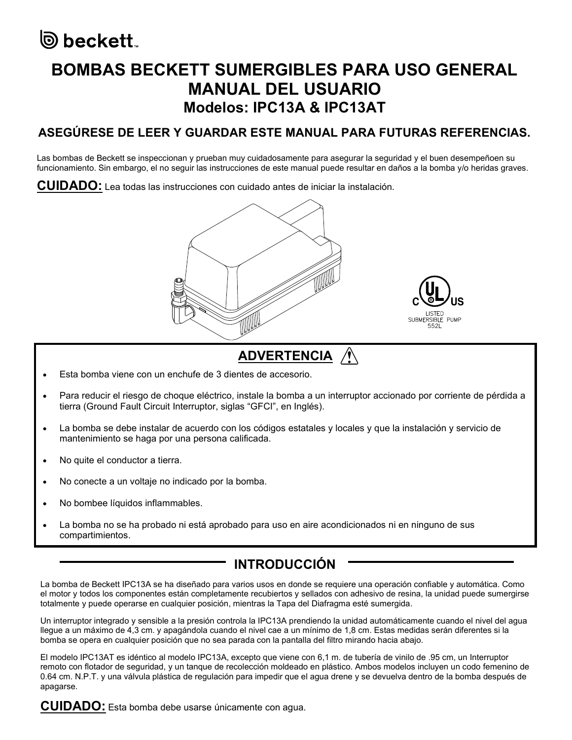# ◎ beckett.

# BOMBAS BECKETT SUMERGIBLES PARA USO GENERAL MANUAL DEL USUARIO Modelos: IPC13A & IPC13AT

## ASEGÚRESE DE LEER Y GUARDAR ESTE MANUAL PARA FUTURAS REFERENCIAS.

Las bombas de Beckett se inspeccionan y prueban muy cuidadosamente para asegurar la seguridad y el buen desempeñoen su funcionamiento. Sin embargo, el no seguir las instrucciones de este manual puede resultar en daños a la bomba y/o heridas graves.

CUIDADO: Lea todas las instrucciones con cuidado antes de iniciar la instalación.





- Esta bomba viene con un enchufe de 3 dientes de accesorio.
- Para reducir el riesgo de choque eléctrico, instale la bomba a un interruptor accionado por corriente de pérdida a tierra (Ground Fault Circuit Interruptor, siglas "GFCI", en Inglés).
- La bomba se debe instalar de acuerdo con los códigos estatales y locales y que la instalación y servicio de mantenimiento se haga por una persona calificada.
- No quite el conductor a tierra.
- No conecte a un voltaje no indicado por la bomba.
- No bombee líquidos inflammables.
- La bomba no se ha probado ni está aprobado para uso en aire acondicionados ni en ninguno de sus compartimientos.

## INTRODUCCIÓN

La bomba de Beckett IPC13A se ha diseñado para varios usos en donde se requiere una operación confiable y automática. Como el motor y todos los componentes están completamente recubiertos y sellados con adhesivo de resina, la unidad puede sumergirse totalmente y puede operarse en cualquier posición, mientras la Tapa del Diafragma esté sumergida.

Un interruptor integrado y sensible a la presión controla la IPC13A prendiendo la unidad automáticamente cuando el nivel del agua llegue a un máximo de 4,3 cm. y apagándola cuando el nivel cae a un mínimo de 1,8 cm. Estas medidas serán diferentes si la bomba se opera en cualquier posición que no sea parada con la pantalla del filtro mirando hacia abajo.

El modelo IPC13AT es idéntico al modelo IPC13A, excepto que viene con 6,1 m. de tubería de vinilo de .95 cm, un Interruptor remoto con flotador de seguridad, y un tanque de recolección moldeado en plástico. Ambos modelos incluyen un codo femenino de 0.64 cm. N.P.T. y una válvula plástica de regulación para impedir que el agua drene y se devuelva dentro de la bomba después de apagarse.

CUIDADO: Esta bomba debe usarse únicamente con agua.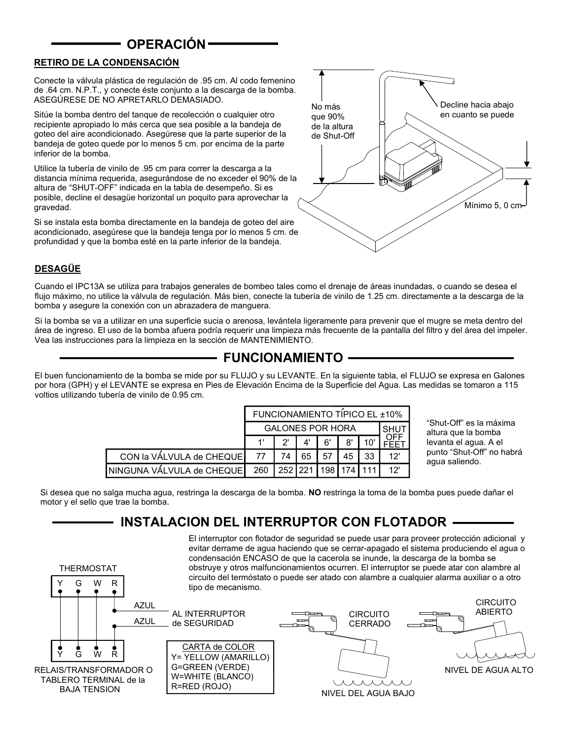### OPERACIÓN

#### RETIRO DE LA CONDENSACIÓN

Conecte la válvula plástica de regulación de .95 cm. Al codo femenino de .64 cm. N.P.T., y conecte éste conjunto a la descarga de la bomba. ASEGÚRESE DE NO APRETARLO DEMASIADO.

Sitúe la bomba dentro del tanque de recolección o cualquier otro recipiente apropiado lo más cerca que sea posible a la bandeja de goteo del aire acondicionado. Asegúrese que la parte superior de la bandeja de goteo quede por lo menos 5 cm. por encima de la parte inferior de la bomba.

Utilice la tubería de vinilo de .95 cm para correr la descarga a la distancia mínima requerida, asegurándose de no exceder el 90% de la altura de "SHUT-OFF" indicada en la tabla de desempeño. Si es posible, decline el desagüe horizontal un poquito para aprovechar la gravedad.

Si se instala esta bomba directamente en la bandeja de goteo del aire acondicionado, asegúrese que la bandeja tenga por lo menos 5 cm. de profundidad y que la bomba esté en la parte inferior de la bandeja.



#### **DESAGÜE**

G W R THERMOSTAT

Y

Cuando el IPC13A se utiliza para trabajos generales de bombeo tales como el drenaje de áreas inundadas, o cuando se desea el flujo máximo, no utilice la válvula de regulación. Más bien, conecte la tubería de vinilo de 1.25 cm. directamente a la descarga de la bomba y asegure la conexión con un abrazadera de manguera.

Si la bomba se va a utilizar en una superficie sucia o arenosa, levántela ligeramente para prevenir que el mugre se meta dentro del área de ingreso. El uso de la bomba afuera podría requerir una limpieza más frecuente de la pantalla del filtro y del área del impeler. Vea las instrucciones para la limpieza en la sección de MANTENIMIENTO.

### FUNCIONAMIENTO

El buen funcionamiento de la bomba se mide por su FLUJO y su LEVANTE. En la siguiente tabla, el FLUJO se expresa en Galones por hora (GPH) y el LEVANTE se expresa en Pies de Elevación Encima de la Superficie del Agua. Las medidas se tomaron a 115 voltios utilizando tubería de vinilo de 0.95 cm.

|                           | FUNCIONAMIENTO TÍPICO EL ±10% |                             |    |    |    |             |     |
|---------------------------|-------------------------------|-----------------------------|----|----|----|-------------|-----|
|                           | <b>GALONES POR HORA</b>       |                             |    |    |    | <b>SHUT</b> |     |
|                           |                               | יפ                          | Δ' | 6' | 8' |             |     |
| CON la VALVULA de CHEQUE  | 77                            | 74                          | 65 | 57 | 45 | 33          | 12' |
| NINGUNA VÁLVULA de CHEQUE | 260                           | 252   221   198   174   111 |    |    |    |             | 12' |

"Shut-Off" es la máxima altura que la bomba levanta el agua. A el punto "Shut-Off" no habrá agua saliendo.

Si desea que no salga mucha agua, restringa la descarga de la bomba. NO restringa la toma de la bomba pues puede dañar el motor y el sello que trae la bomba.

### - INSTALACION DEL INTERRUPTOR CON FLOTADOR -

El interruptor con flotador de seguridad se puede usar para proveer protección adicional y evitar derrame de agua haciendo que se cerrar-apagado el sistema produciendo el agua o condensación ENCASO de que la cacerola se inunde, la descarga de la bomba se obstruye y otros malfuncionamientos ocurren. El interruptor se puede atar con alambre al circuito del termóstato o puede ser atado con alambre a cualquier alarma auxiliar o a otro tipo de mecanismo.

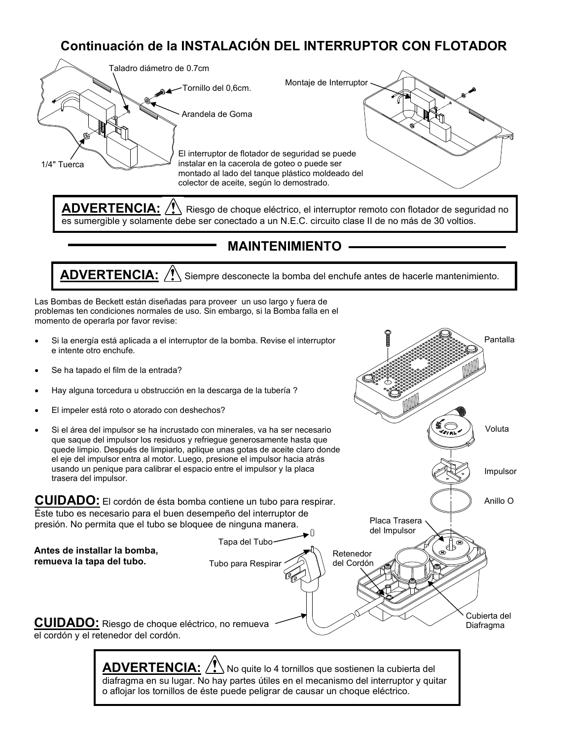## Continuación de la INSTALACIÓN DEL INTERRUPTOR CON FLOTADOR



ADVERTENCIA:  $\langle !\rangle$  Riesgo de choque eléctrico, el interruptor remoto con flotador de seguridad no es sumergible y solamente debe ser conectado a un N.E.C. circuito clase II de no más de 30 voltios.

#### MAINTENIMIENTO

 $\overline{\mathsf{ADVERTENCIA:}/!}$  Siempre desconecte la bomba del enchufe antes de hacerle mantenimiento.

Las Bombas de Beckett están diseñadas para proveer un uso largo y fuera de problemas ten condiciones normales de uso. Sin embargo, si la Bomba falla en el momento de operarla por favor revise:

- Si la energía está aplicada a el interruptor de la bomba. Revise el interruptor e intente otro enchufe.
- Se ha tapado el film de la entrada?
- Hay alguna torcedura u obstrucción en la descarga de la tubería ?
- El impeler está roto o atorado con deshechos?
- Si el área del impulsor se ha incrustado con minerales, va ha ser necesario que saque del impulsor los residuos y refriegue generosamente hasta que quede limpio. Después de limpiarlo, aplique unas gotas de aceite claro donde el eje del impulsor entra al motor. Luego, presione el impulsor hacia atrás usando un penique para calibrar el espacio entre el impulsor y la placa trasera del impulsor.

CUIDADO: El cordón de ésta bomba contiene un tubo para respirar. Éste tubo es necesario para el buen desempeño del interruptor de presión. No permita que el tubo se bloquee de ninguna manera.

 $\bullet$ Tapa del Tubo Antes de installar la bomba, Retenedor remueva la tapa del tubo. del Cordón Tubo para Respirar Cubierta del CUIDADO: Riesgo de choque eléctrico, no remueva Diafragma el cordón y el retenedor del cordón.

Impulsor

Voluta

Pantalla

Anillo O

Placa Trasera del Impulsor

 $\overline{\mathsf{ADVERTENCIA:}/!}$  No quite lo 4 tornillos que sostienen la cubierta del diafragma en su lugar. No hay partes útiles en el mecanismo del interruptor y quitar o aflojar los tornillos de éste puede peligrar de causar un choque eléctrico.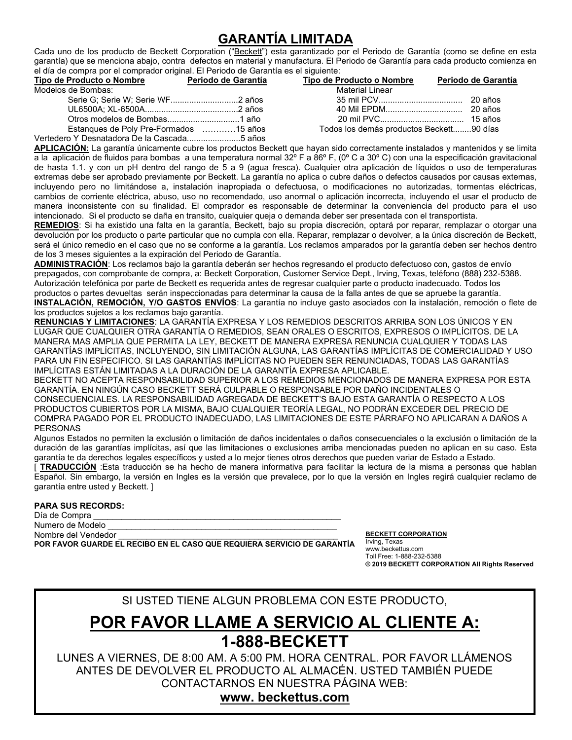## GARANTÍA LIMITADA

Cada uno de los producto de Beckett Corporation ("Beckett") esta garantizado por el Periodo de Garantía (como se define en esta garantía) que se menciona abajo, contra defectos en material y manufactura. El Periodo de Garantía para cada producto comienza en el día de compra por el comprador original. El Periodo de Garantía es el siguiente:

| Tipo de Producto o Nombre                   | Periodo de Garantía | Tipo de Producto o Nombre                | Periodo de Garantía |
|---------------------------------------------|---------------------|------------------------------------------|---------------------|
| Modelos de Bombas:                          |                     | <b>Material Linear</b>                   |                     |
|                                             |                     |                                          |                     |
|                                             |                     |                                          |                     |
|                                             |                     |                                          |                     |
| Estangues de Poly Pre-Formados 15 años      |                     | Todos los demás productos Beckett90 días |                     |
| Vertedero Y Desnatadora De la Cascada5 años |                     |                                          |                     |

<u>APLICACIÓN:</u> La garantía únicamente cubre los productos Beckett que hayan sido correctamente instalados y mantenidos y se limita a la aplicación de fluidos para bombas a una temperatura normal 32º F a 86º F, (0º C a 30º C) con una la especificación gravitacional de hasta 1.1. y con un pH dentro del rango de 5 a 9 (agua fresca). Cualquier otra aplicación de líquidos o uso de temperaturas extremas debe ser aprobado previamente por Beckett. La garantía no aplica o cubre daños o defectos causados por causas externas, incluyendo pero no limitándose a, instalación inapropiada o defectuosa, o modificaciones no autorizadas, tormentas eléctricas, cambios de corriente eléctrica, abuso, uso no recomendado, uso anormal o aplicación incorrecta, incluyendo el usar el producto de manera inconsistente con su finalidad. El comprador es responsable de determinar la conveniencia del producto para el uso intencionado. Si el producto se daña en transito, cualquier queja o demanda deber ser presentada con el transportista.

REMEDIOS: Si ha existido una falta en la garantía, Beckett, bajo su propia discreción, optará por reparar, remplazar o otorgar una devolución por los producto o parte particular que no cumpla con ella. Reparar, remplazar o devolver, a la única discreción de Beckett, será el único remedio en el caso que no se conforme a la garantía. Los reclamos amparados por la garantía deben ser hechos dentro de los 3 meses siguientes a la expiración del Periodo de Garantía.

ADMINISTRACIÓN: Los reclamos bajo la garantía deberán ser hechos regresando el producto defectuoso con, gastos de envío prepagados, con comprobante de compra, a: Beckett Corporation, Customer Service Dept., Irving, Texas, teléfono (888) 232-5388. Autorización telefónica por parte de Beckett es requerida antes de regresar cualquier parte o producto inadecuado. Todos los productos o partes devueltas serán inspeccionadas para determinar la causa de la falla antes de que se apruebe la garantía. INSTALACIÓN, REMOCIÓN, Y/O GASTOS ENVÍOS: La garantía no incluye gasto asociados con la instalación, remoción o flete de los productos sujetos a los reclamos bajo garantía.

RENUNCIAS Y LIMITACIONES: LA GARANTÍA EXPRESA Y LOS REMEDIOS DESCRITOS ARRIBA SON LOS ÚNICOS Y EN LUGAR QUE CUALQUIER OTRA GARANTÍA O REMEDIOS, SEAN ORALES O ESCRITOS, EXPRESOS O IMPLÍCITOS. DE LA MANERA MAS AMPLIA QUE PERMITA LA LEY, BECKETT DE MANERA EXPRESA RENUNCIA CUALQUIER Y TODAS LAS GARANTÍAS IMPLÍCITAS, INCLUYENDO, SIN LIMITACIÓN ALGUNA, LAS GARANTÍAS IMPLÍCITAS DE COMERCIALIDAD Y USO PARA UN FIN ESPECIFICO. SI LAS GARANTÍAS IMPLÍCITAS NO PUEDEN SER RENUNCIADAS, TODAS LAS GARANTÍAS IMPLÍCITAS ESTÁN LIMITADAS A LA DURACIÓN DE LA GARANTÍA EXPRESA APLICABLE.

BECKETT NO ACEPTA RESPONSABILIDAD SUPERIOR A LOS REMEDIOS MENCIONADOS DE MANERA EXPRESA POR ESTA GARANTÍA. EN NINGÚN CASO BECKETT SERÁ CULPABLE O RESPONSABLE POR DAÑO INCIDENTALES O CONSECUENCIALES. LA RESPONSABILIDAD AGREGADA DE BECKETT'S BAJO ESTA GARANTÍA O RESPECTO A LOS PRODUCTOS CUBIERTOS POR LA MISMA, BAJO CUALQUIER TEORÍA LEGAL, NO PODRÁN EXCEDER DEL PRECIO DE COMPRA PAGADO POR EL PRODUCTO INADECUADO, LAS LIMITACIONES DE ESTE PÁRRAFO NO APLICARAN A DAÑOS A PERSONAS

Algunos Estados no permiten la exclusión o limitación de daños incidentales o daños consecuenciales o la exclusión o limitación de la duración de las garantías implícitas, así que las limitaciones o exclusiones arriba mencionadas pueden no aplican en su caso. Esta garantía te da derechos legales específicos y usted a lo mejor tienes otros derechos que pueden variar de Estado a Estado.

[ TRADUCCIÓN : Esta traducción se ha hecho de manera informativa para facilitar la lectura de la misma a personas que hablan Español. Sin embargo, la versión en Ingles es la versión que prevalece, por lo que la versión en Ingles regirá cualquier reclamo de garantía entre usted y Beckett. ]

#### PARA SUS RECORDS:

Día de Compra Numero de Modelo Nombre del Vendedor

I

POR FAVOR GUARDE EL RECIBO EN EL CASO QUE REQUIERA SERVICIO DE GARANTÍA

BECKETT CORPORATION Irving, Texas www.beckettus.com Toll Free: 1-888-232-5388 © 2019 BECKETT CORPORATION All Rights Reserved

SI USTED TIENE ALGUN PROBLEMA CON ESTE PRODUCTO,

# POR FAVOR LLAME A SERVICIO AL CLIENTE A: 1-888-BECKETT

LUNES A VIERNES, DE 8:00 AM. A 5:00 PM. HORA CENTRAL. POR FAVOR LLÁMENOS ANTES DE DEVOLVER EL PRODUCTO AL ALMACÉN. USTED TAMBIÉN PUEDE CONTACTARNOS EN NUESTRA PÁGINA WEB:

#### www. beckettus.com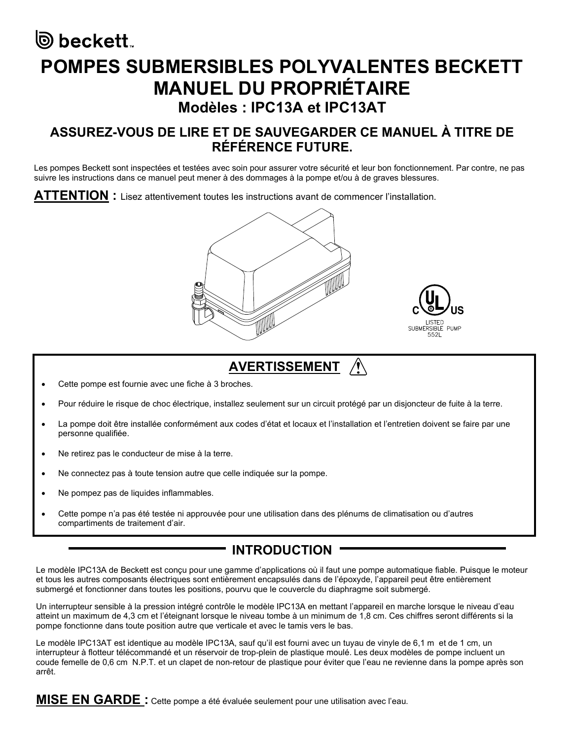# ම beckett. POMPES SUBMERSIBLES POLYVALENTES BECKETT MANUEL DU PROPRIÉTAIRE Modèles : IPC13A et IPC13AT

### ASSUREZ-VOUS DE LIRE ET DE SAUVEGARDER CE MANUEL À TITRE DE RÉFÉRENCE FUTURE.

Les pompes Beckett sont inspectées et testées avec soin pour assurer votre sécurité et leur bon fonctionnement. Par contre, ne pas suivre les instructions dans ce manuel peut mener à des dommages à la pompe et/ou à de graves blessures.

 $\mathsf{ATTENTION}$  : Lisez attentivement toutes les instructions avant de commencer l'installation.





# AVERTISSEMENT /

- Cette pompe est fournie avec une fiche à 3 broches.
- Pour réduire le risque de choc électrique, installez seulement sur un circuit protégé par un disjoncteur de fuite à la terre.
- La pompe doit être installée conformément aux codes d'état et locaux et l'installation et l'entretien doivent se faire par une personne qualifiée.
- Ne retirez pas le conducteur de mise à la terre.
- Ne connectez pas à toute tension autre que celle indiquée sur la pompe.
- Ne pompez pas de liquides inflammables.
- Cette pompe n'a pas été testée ni approuvée pour une utilisation dans des plénums de climatisation ou d'autres compartiments de traitement d'air.

## INTRODUCTION

Le modèle IPC13A de Beckett est conçu pour une gamme d'applications où il faut une pompe automatique fiable. Puisque le moteur et tous les autres composants électriques sont entièrement encapsulés dans de l'époxyde, l'appareil peut être entièrement submergé et fonctionner dans toutes les positions, pourvu que le couvercle du diaphragme soit submergé.

Un interrupteur sensible à la pression intégré contrôle le modèle IPC13A en mettant l'appareil en marche lorsque le niveau d'eau atteint un maximum de 4,3 cm et l'éteignant lorsque le niveau tombe à un minimum de 1,8 cm. Ces chiffres seront différents si la pompe fonctionne dans toute position autre que verticale et avec le tamis vers le bas.

Le modèle IPC13AT est identique au modèle IPC13A, sauf qu'il est fourni avec un tuyau de vinyle de 6,1 m et de 1 cm, un interrupteur à flotteur télécommandé et un réservoir de trop-plein de plastique moulé. Les deux modèles de pompe incluent un coude femelle de 0,6 cm N.P.T. et un clapet de non-retour de plastique pour éviter que l'eau ne revienne dans la pompe après son arrêt.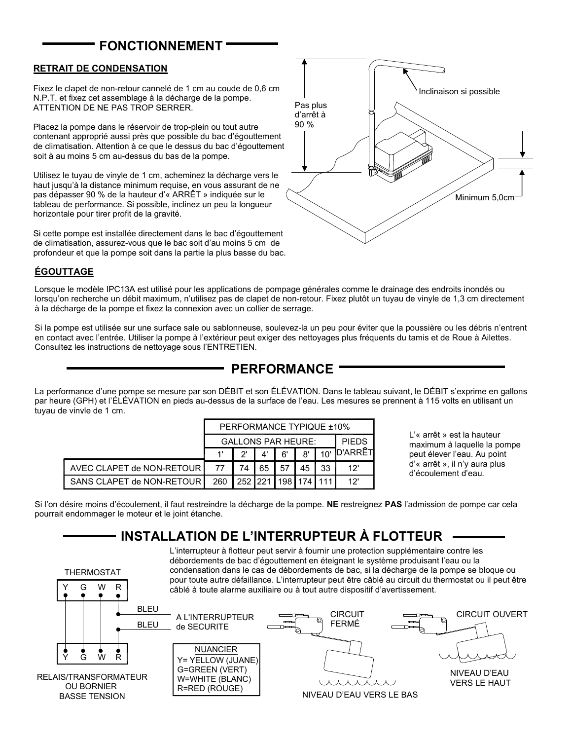## FONCTIONNEMENT

#### RETRAIT DE CONDENSATION

Fixez le clapet de non-retour cannelé de 1 cm au coude de 0,6 cm N.P.T. et fixez cet assemblage à la décharge de la pompe. ATTENTION DE NE PAS TROP SERRER.

Placez la pompe dans le réservoir de trop-plein ou tout autre contenant approprié aussi près que possible du bac d'égouttement de climatisation. Attention à ce que le dessus du bac d'égouttement soit à au moins 5 cm au-dessus du bas de la pompe.

Utilisez le tuyau de vinyle de 1 cm, acheminez la décharge vers le haut jusqu'à la distance minimum requise, en vous assurant de ne pas dépasser 90 % de la hauteur d'« ARRÊT » indiquée sur le tableau de performance. Si possible, inclinez un peu la longueur horizontale pour tirer profit de la gravité.

Si cette pompe est installée directement dans le bac d'égouttement de climatisation, assurez-vous que le bac soit d'au moins 5 cm de profondeur et que la pompe soit dans la partie la plus basse du bac.



#### ÉGOUTTAGE

Lorsque le modèle IPC13A est utilisé pour les applications de pompage générales comme le drainage des endroits inondés ou lorsqu'on recherche un débit maximum, n'utilisez pas de clapet de non-retour. Fixez plutôt un tuyau de vinyle de 1,3 cm directement à la décharge de la pompe et fixez la connexion avec un collier de serrage.

Si la pompe est utilisée sur une surface sale ou sablonneuse, soulevez-la un peu pour éviter que la poussière ou les débris n'entrent en contact avec l'entrée. Utiliser la pompe à l'extérieur peut exiger des nettoyages plus fréquents du tamis et de Roue à Ailettes. Consultez les instructions de nettoyage sous l'ENTRETIEN.

### PERFORMANCE

La performance d'une pompe se mesure par son DÉBIT et son ÉLÉVATION. Dans le tableau suivant, le DÉBIT s'exprime en gallons par heure (GPH) et l'ÉLÉVATION en pieds au-dessus de la surface de l'eau. Les mesures se prennent à 115 volts en utilisant un tuyau de vinyle de 1 cm.

|                             | PERFORMANCE TYPIQUE ±10%  |    |    |    |    |              |                |
|-----------------------------|---------------------------|----|----|----|----|--------------|----------------|
|                             | <b>GALLONS PAR HEURE:</b> |    |    |    |    | <b>PIFDS</b> |                |
|                             |                           | יר | A١ | ъ. | 8' |              | <b>O'ARRÊT</b> |
|                             | 77                        | 74 | 65 |    | 45 | 33           | 12'            |
| SANS CLAPET de NON-RETOUR I | 260 252 221 198 174 111   |    |    |    |    |              | 12'            |

L'« arrêt » est la hauteur maximum à laquelle la pompe peut élever l'eau. Au point d'« arrêt », il n'y aura plus d'écoulement d'eau.

Si l'on désire moins d'écoulement, il faut restreindre la décharge de la pompe. NE restreignez PAS l'admission de pompe car cela pourrait endommager le moteur et le joint étanche.

### INSTALLATION DE L'INTERRUPTEUR À FLOTTEUR

BASSE TENSION OU BORNIER RELAIS/TRANSFORMATEUR BLEU de SECURITE A L'INTERRUPTEUR BLEU Y G W R G W R THERMOSTAT Y R=RED (ROUGE) W=WHITE (BLANC) G=GREEN (VERT) Y= YELLOW (JUANE) NUANCIER **CIRCUIT** FERMÉ CIRCUIT OUVERT NIVEAU D'EAU VERS LE BAS NIVEAU D'EAU VERS LE HAUT L'interrupteur à flotteur peut servir à fournir une protection supplémentaire contre les débordements de bac d'égouttement en éteignant le système produisant l'eau ou la condensation dans le cas de débordements de bac, si la décharge de la pompe se bloque ou pour toute autre défaillance. L'interrupteur peut être câblé au circuit du thermostat ou il peut être câblé à toute alarme auxiliaire ou à tout autre dispositif d'avertissement.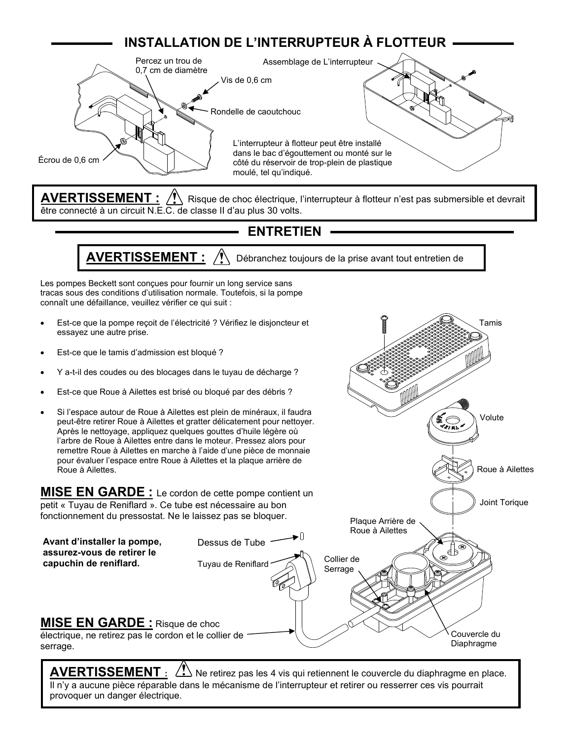# INSTALLATION DE L'INTERRUPTEUR À FLOTTEUR



AVERTISSEMENT :  $\bigwedge$  Risque de choc électrique, l'interrupteur à flotteur n'est pas submersible et devrait être connecté à un circuit N.E.C. de classe II d'au plus 30 volts.

### **ENTRETIEN**

 $\mathsf{AVERTISSEMENT:} \,\,\,\text{/}\!\!\!\!/\!\!\!\!\!/\,\,\,\,$  Débranchez toujours de la prise avant tout entretien de pompe.

Les pompes Beckett sont conçues pour fournir un long service sans tracas sous des conditions d'utilisation normale. Toutefois, si la pompe connaît une défaillance, veuillez vérifier ce qui suit :

- Est-ce que la pompe reçoit de l'électricité ? Vérifiez le disjoncteur et essayez une autre prise.
- Est-ce que le tamis d'admission est bloqué ?
- Y a-t-il des coudes ou des blocages dans le tuyau de décharge ?
- Est-ce que Roue à Ailettes est brisé ou bloqué par des débris ?
- Si l'espace autour de Roue à Ailettes est plein de minéraux, il faudra peut-être retirer Roue à Ailettes et gratter délicatement pour nettoyer. Après le nettoyage, appliquez quelques gouttes d'huile légère où l'arbre de Roue à Ailettes entre dans le moteur. Pressez alors pour remettre Roue à Ailettes en marche à l'aide d'une pièce de monnaie pour évaluer l'espace entre Roue à Ailettes et la plaque arrière de Roue à Ailettes.

**MISE EN GARDE** : Le cordon de cette pompe contient un petit « Tuyau de Reniflard ». Ce tube est nécessaire au bon fonctionnement du pressostat. Ne le laissez pas se bloquer.



Roue à Ailettes

Joint Torique

Plaque Arrière de

Tamis

Volute

serrage.

AVERTISSEMENT  $: \langle \cdot \rangle$  Ne retirez pas les 4 vis qui retiennent le couvercle du diaphragme en place. Il n'y a aucune pièce réparable dans le mécanisme de l'interrupteur et retirer ou resserrer ces vis pourrait provoquer un danger électrique.